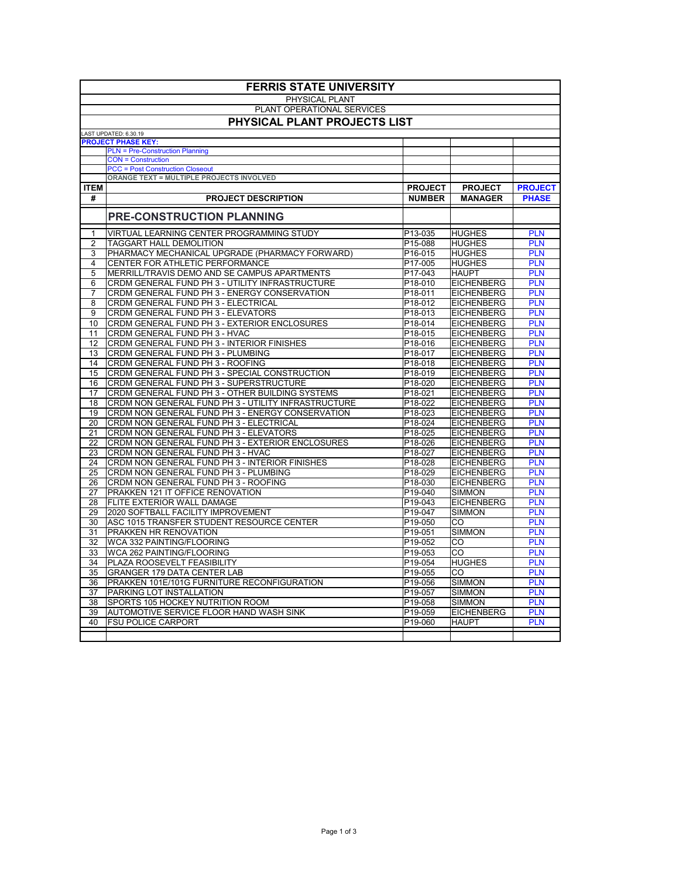| PHYSICAL PLANT<br>PLANT OPERATIONAL SERVICES<br>PHYSICAL PLANT PROJECTS LIST<br>LAST UPDATED: 6.30.19<br><b>PROJECT PHASE KEY:</b><br><b>PLN = Pre-Construction Planning</b><br><b>CON = Construction</b><br><b>PCC = Post Construction Closeout</b><br><b>ORANGE TEXT = MULTIPLE PROJECTS INVOLVED</b><br><b>ITEM</b><br><b>PROJECT</b><br><b>PROJECT</b><br><b>PROJECT</b><br>#<br><b>PHASE</b><br><b>PROJECT DESCRIPTION</b><br><b>NUMBER</b><br><b>MANAGER</b><br><b>PRE-CONSTRUCTION PLANNING</b><br>P13-035<br>VIRTUAL LEARNING CENTER PROGRAMMING STUDY<br><b>HUGHES</b><br><b>PLN</b><br>1<br>2<br><b>TAGGART HALL DEMOLITION</b><br>P15-088<br><b>HUGHES</b><br><b>PLN</b><br>3<br>PHARMACY MECHANICAL UPGRADE (PHARMACY FORWARD)<br>P16-015<br><b>HUGHES</b><br><b>PLN</b><br><b>PLN</b><br><b>CENTER FOR ATHLETIC PERFORMANCE</b><br>P17-005<br>4<br><b>HUGHES</b><br>MERRILL/TRAVIS DEMO AND SE CAMPUS APARTMENTS<br><b>PLN</b><br>5<br>P17-043<br><b>HAUPT</b><br>CRDM GENERAL FUND PH 3 - UTILITY INFRASTRUCTURE<br>P18-010<br><b>EICHENBERG</b><br><b>PLN</b><br>6<br>$\overline{7}$<br>P18-011<br><b>PLN</b><br>CRDM GENERAL FUND PH 3 - ENERGY CONSERVATION<br><b>EICHENBERG</b><br>CRDM GENERAL FUND PH 3 - ELECTRICAL<br>8<br>P18-012<br><b>EICHENBERG</b><br><b>PLN</b><br><b>CRDM GENERAL FUND PH 3 - ELEVATORS</b><br>9<br>P18-013<br><b>EICHENBERG</b><br><b>PLN</b><br>CRDM GENERAL FUND PH 3 - EXTERIOR ENCLOSURES<br>P18-014<br><b>PLN</b><br>10<br><b>EICHENBERG</b><br><b>CRDM GENERAL FUND PH 3 - HVAC</b><br>P18-015<br><b>PLN</b><br><b>EICHENBERG</b><br>11<br><b>CRDM GENERAL FUND PH 3 - INTERIOR FINISHES</b><br><b>PLN</b><br>12<br>P18-016<br><b>EICHENBERG</b><br>13<br>CRDM GENERAL FUND PH 3 - PLUMBING<br>P18-017<br><b>PLN</b><br><b>EICHENBERG</b><br>CRDM GENERAL FUND PH 3 - ROOFING<br>14<br>P18-018<br><b>EICHENBERG</b><br><b>PLN</b><br>CRDM GENERAL FUND PH 3 - SPECIAL CONSTRUCTION<br>P18-019<br><b>EICHENBERG</b><br><b>PLN</b><br>15<br>P18-020<br>16<br>CRDM GENERAL FUND PH 3 - SUPERSTRUCTURE<br><b>EICHENBERG</b><br><b>PLN</b><br>CRDM GENERAL FUND PH 3 - OTHER BUILDING SYSTEMS<br>P18-021<br><b>PLN</b><br>17<br><b>EICHENBERG</b><br>CRDM NON GENERAL FUND PH 3 - UTILITY INFRASTRUCTURE<br>P18-022<br><b>PLN</b><br>18<br><b>EICHENBERG</b><br>CRDM NON GENERAL FUND PH 3 - ENERGY CONSERVATION<br>P18-023<br><b>EICHENBERG</b><br><b>PLN</b><br>19<br>20<br>CRDM NON GENERAL FUND PH 3 - ELECTRICAL<br>P18-024<br><b>EICHENBERG</b><br><b>PLN</b><br>21<br>CRDM NON GENERAL FUND PH 3 - ELEVATORS<br>P18-025<br><b>EICHENBERG</b><br><b>PLN</b><br><b>PLN</b><br>22<br>CRDM NON GENERAL FUND PH 3 - EXTERIOR ENCLOSURES<br>P18-026<br><b>EICHENBERG</b><br><b>PLN</b><br>23<br>CRDM NON GENERAL FUND PH 3 - HVAC<br>P18-027<br><b>EICHENBERG</b><br>P18-028<br><b>EICHENBERG</b><br><b>PLN</b><br>24<br>CRDM NON GENERAL FUND PH 3 - INTERIOR FINISHES<br>25<br>P18-029<br>CRDM NON GENERAL FUND PH 3 - PLUMBING<br><b>EICHENBERG</b><br><b>PLN</b><br>26<br><b>PLN</b><br>CRDM NON GENERAL FUND PH 3 - ROOFING<br>P18-030<br><b>EICHENBERG</b><br>27<br>P19-040<br><b>SIMMON</b><br><b>PLN</b><br><b>PRAKKEN 121 IT OFFICE RENOVATION</b><br><b>FLITE EXTERIOR WALL DAMAGE</b><br>P19-043<br><b>EICHENBERG</b><br><b>PLN</b><br>28<br>29<br>2020 SOFTBALL FACILITY IMPROVEMENT<br>P19-047<br><b>SIMMON</b><br><b>PLN</b><br>30<br>ASC 1015 TRANSFER STUDENT RESOURCE CENTER<br>P19-050<br><b>CO</b><br><b>PLN</b><br>31<br>P19-051<br><b>SIMMON</b><br><b>PLN</b><br><b>PRAKKEN HR RENOVATION</b><br>32<br>P19-052<br>CO<br><b>PLN</b><br><b>WCA 332 PAINTING/FLOORING</b><br>33<br><b>WCA 262 PAINTING/FLOORING</b><br>P19-053<br><b>CO</b><br><b>PLN</b><br>34<br>PLAZA ROOSEVELT FEASIBILITY<br>P19-054<br><b>HUGHES</b><br><b>PLN</b><br>CO<br><b>PLN</b><br>35<br><b>GRANGER 179 DATA CENTER LAB</b><br>P19-055<br>PRAKKEN 101E/101G FURNITURE RECONFIGURATION<br>P19-056<br><b>SIMMON</b><br><b>PLN</b><br>36<br>P19-057<br>37<br><b>PARKING LOT INSTALLATION</b><br><b>SIMMON</b><br><b>PLN</b><br><b>SPORTS 105 HOCKEY NUTRITION ROOM</b><br>P19-058<br>38<br><b>SIMMON</b><br><b>PLN</b><br>39<br><b>AUTOMOTIVE SERVICE FLOOR HAND WASH SINK</b><br>P19-059<br><b>EICHENBERG</b><br><b>PLN</b> | <b>FERRIS STATE UNIVERSITY</b> |  |  |  |  |
|---------------------------------------------------------------------------------------------------------------------------------------------------------------------------------------------------------------------------------------------------------------------------------------------------------------------------------------------------------------------------------------------------------------------------------------------------------------------------------------------------------------------------------------------------------------------------------------------------------------------------------------------------------------------------------------------------------------------------------------------------------------------------------------------------------------------------------------------------------------------------------------------------------------------------------------------------------------------------------------------------------------------------------------------------------------------------------------------------------------------------------------------------------------------------------------------------------------------------------------------------------------------------------------------------------------------------------------------------------------------------------------------------------------------------------------------------------------------------------------------------------------------------------------------------------------------------------------------------------------------------------------------------------------------------------------------------------------------------------------------------------------------------------------------------------------------------------------------------------------------------------------------------------------------------------------------------------------------------------------------------------------------------------------------------------------------------------------------------------------------------------------------------------------------------------------------------------------------------------------------------------------------------------------------------------------------------------------------------------------------------------------------------------------------------------------------------------------------------------------------------------------------------------------------------------------------------------------------------------------------------------------------------------------------------------------------------------------------------------------------------------------------------------------------------------------------------------------------------------------------------------------------------------------------------------------------------------------------------------------------------------------------------------------------------------------------------------------------------------------------------------------------------------------------------------------------------------------------------------------------------------------------------------------------------------------------------------------------------------------------------------------------------------------------------------------------------------------------------------------------------------------------------------------------------------------------------------------------------------------------------------------------------------------------------------------------------------------------------------------------------------------------------------------------------------------------------------------------------------------------------------------------------------------------------------------------------------------------------------------------------------------------------------------------------------------------------------------------------------------------------------------------------------------------------------------------------------------------------------------------------------------------------|--------------------------------|--|--|--|--|
|                                                                                                                                                                                                                                                                                                                                                                                                                                                                                                                                                                                                                                                                                                                                                                                                                                                                                                                                                                                                                                                                                                                                                                                                                                                                                                                                                                                                                                                                                                                                                                                                                                                                                                                                                                                                                                                                                                                                                                                                                                                                                                                                                                                                                                                                                                                                                                                                                                                                                                                                                                                                                                                                                                                                                                                                                                                                                                                                                                                                                                                                                                                                                                                                                                                                                                                                                                                                                                                                                                                                                                                                                                                                                                                                                                                                                                                                                                                                                                                                                                                                                                                                                                                                                                                                           |                                |  |  |  |  |
|                                                                                                                                                                                                                                                                                                                                                                                                                                                                                                                                                                                                                                                                                                                                                                                                                                                                                                                                                                                                                                                                                                                                                                                                                                                                                                                                                                                                                                                                                                                                                                                                                                                                                                                                                                                                                                                                                                                                                                                                                                                                                                                                                                                                                                                                                                                                                                                                                                                                                                                                                                                                                                                                                                                                                                                                                                                                                                                                                                                                                                                                                                                                                                                                                                                                                                                                                                                                                                                                                                                                                                                                                                                                                                                                                                                                                                                                                                                                                                                                                                                                                                                                                                                                                                                                           |                                |  |  |  |  |
|                                                                                                                                                                                                                                                                                                                                                                                                                                                                                                                                                                                                                                                                                                                                                                                                                                                                                                                                                                                                                                                                                                                                                                                                                                                                                                                                                                                                                                                                                                                                                                                                                                                                                                                                                                                                                                                                                                                                                                                                                                                                                                                                                                                                                                                                                                                                                                                                                                                                                                                                                                                                                                                                                                                                                                                                                                                                                                                                                                                                                                                                                                                                                                                                                                                                                                                                                                                                                                                                                                                                                                                                                                                                                                                                                                                                                                                                                                                                                                                                                                                                                                                                                                                                                                                                           |                                |  |  |  |  |
|                                                                                                                                                                                                                                                                                                                                                                                                                                                                                                                                                                                                                                                                                                                                                                                                                                                                                                                                                                                                                                                                                                                                                                                                                                                                                                                                                                                                                                                                                                                                                                                                                                                                                                                                                                                                                                                                                                                                                                                                                                                                                                                                                                                                                                                                                                                                                                                                                                                                                                                                                                                                                                                                                                                                                                                                                                                                                                                                                                                                                                                                                                                                                                                                                                                                                                                                                                                                                                                                                                                                                                                                                                                                                                                                                                                                                                                                                                                                                                                                                                                                                                                                                                                                                                                                           |                                |  |  |  |  |
|                                                                                                                                                                                                                                                                                                                                                                                                                                                                                                                                                                                                                                                                                                                                                                                                                                                                                                                                                                                                                                                                                                                                                                                                                                                                                                                                                                                                                                                                                                                                                                                                                                                                                                                                                                                                                                                                                                                                                                                                                                                                                                                                                                                                                                                                                                                                                                                                                                                                                                                                                                                                                                                                                                                                                                                                                                                                                                                                                                                                                                                                                                                                                                                                                                                                                                                                                                                                                                                                                                                                                                                                                                                                                                                                                                                                                                                                                                                                                                                                                                                                                                                                                                                                                                                                           |                                |  |  |  |  |
|                                                                                                                                                                                                                                                                                                                                                                                                                                                                                                                                                                                                                                                                                                                                                                                                                                                                                                                                                                                                                                                                                                                                                                                                                                                                                                                                                                                                                                                                                                                                                                                                                                                                                                                                                                                                                                                                                                                                                                                                                                                                                                                                                                                                                                                                                                                                                                                                                                                                                                                                                                                                                                                                                                                                                                                                                                                                                                                                                                                                                                                                                                                                                                                                                                                                                                                                                                                                                                                                                                                                                                                                                                                                                                                                                                                                                                                                                                                                                                                                                                                                                                                                                                                                                                                                           |                                |  |  |  |  |
|                                                                                                                                                                                                                                                                                                                                                                                                                                                                                                                                                                                                                                                                                                                                                                                                                                                                                                                                                                                                                                                                                                                                                                                                                                                                                                                                                                                                                                                                                                                                                                                                                                                                                                                                                                                                                                                                                                                                                                                                                                                                                                                                                                                                                                                                                                                                                                                                                                                                                                                                                                                                                                                                                                                                                                                                                                                                                                                                                                                                                                                                                                                                                                                                                                                                                                                                                                                                                                                                                                                                                                                                                                                                                                                                                                                                                                                                                                                                                                                                                                                                                                                                                                                                                                                                           |                                |  |  |  |  |
|                                                                                                                                                                                                                                                                                                                                                                                                                                                                                                                                                                                                                                                                                                                                                                                                                                                                                                                                                                                                                                                                                                                                                                                                                                                                                                                                                                                                                                                                                                                                                                                                                                                                                                                                                                                                                                                                                                                                                                                                                                                                                                                                                                                                                                                                                                                                                                                                                                                                                                                                                                                                                                                                                                                                                                                                                                                                                                                                                                                                                                                                                                                                                                                                                                                                                                                                                                                                                                                                                                                                                                                                                                                                                                                                                                                                                                                                                                                                                                                                                                                                                                                                                                                                                                                                           |                                |  |  |  |  |
|                                                                                                                                                                                                                                                                                                                                                                                                                                                                                                                                                                                                                                                                                                                                                                                                                                                                                                                                                                                                                                                                                                                                                                                                                                                                                                                                                                                                                                                                                                                                                                                                                                                                                                                                                                                                                                                                                                                                                                                                                                                                                                                                                                                                                                                                                                                                                                                                                                                                                                                                                                                                                                                                                                                                                                                                                                                                                                                                                                                                                                                                                                                                                                                                                                                                                                                                                                                                                                                                                                                                                                                                                                                                                                                                                                                                                                                                                                                                                                                                                                                                                                                                                                                                                                                                           |                                |  |  |  |  |
|                                                                                                                                                                                                                                                                                                                                                                                                                                                                                                                                                                                                                                                                                                                                                                                                                                                                                                                                                                                                                                                                                                                                                                                                                                                                                                                                                                                                                                                                                                                                                                                                                                                                                                                                                                                                                                                                                                                                                                                                                                                                                                                                                                                                                                                                                                                                                                                                                                                                                                                                                                                                                                                                                                                                                                                                                                                                                                                                                                                                                                                                                                                                                                                                                                                                                                                                                                                                                                                                                                                                                                                                                                                                                                                                                                                                                                                                                                                                                                                                                                                                                                                                                                                                                                                                           |                                |  |  |  |  |
|                                                                                                                                                                                                                                                                                                                                                                                                                                                                                                                                                                                                                                                                                                                                                                                                                                                                                                                                                                                                                                                                                                                                                                                                                                                                                                                                                                                                                                                                                                                                                                                                                                                                                                                                                                                                                                                                                                                                                                                                                                                                                                                                                                                                                                                                                                                                                                                                                                                                                                                                                                                                                                                                                                                                                                                                                                                                                                                                                                                                                                                                                                                                                                                                                                                                                                                                                                                                                                                                                                                                                                                                                                                                                                                                                                                                                                                                                                                                                                                                                                                                                                                                                                                                                                                                           |                                |  |  |  |  |
|                                                                                                                                                                                                                                                                                                                                                                                                                                                                                                                                                                                                                                                                                                                                                                                                                                                                                                                                                                                                                                                                                                                                                                                                                                                                                                                                                                                                                                                                                                                                                                                                                                                                                                                                                                                                                                                                                                                                                                                                                                                                                                                                                                                                                                                                                                                                                                                                                                                                                                                                                                                                                                                                                                                                                                                                                                                                                                                                                                                                                                                                                                                                                                                                                                                                                                                                                                                                                                                                                                                                                                                                                                                                                                                                                                                                                                                                                                                                                                                                                                                                                                                                                                                                                                                                           |                                |  |  |  |  |
|                                                                                                                                                                                                                                                                                                                                                                                                                                                                                                                                                                                                                                                                                                                                                                                                                                                                                                                                                                                                                                                                                                                                                                                                                                                                                                                                                                                                                                                                                                                                                                                                                                                                                                                                                                                                                                                                                                                                                                                                                                                                                                                                                                                                                                                                                                                                                                                                                                                                                                                                                                                                                                                                                                                                                                                                                                                                                                                                                                                                                                                                                                                                                                                                                                                                                                                                                                                                                                                                                                                                                                                                                                                                                                                                                                                                                                                                                                                                                                                                                                                                                                                                                                                                                                                                           |                                |  |  |  |  |
|                                                                                                                                                                                                                                                                                                                                                                                                                                                                                                                                                                                                                                                                                                                                                                                                                                                                                                                                                                                                                                                                                                                                                                                                                                                                                                                                                                                                                                                                                                                                                                                                                                                                                                                                                                                                                                                                                                                                                                                                                                                                                                                                                                                                                                                                                                                                                                                                                                                                                                                                                                                                                                                                                                                                                                                                                                                                                                                                                                                                                                                                                                                                                                                                                                                                                                                                                                                                                                                                                                                                                                                                                                                                                                                                                                                                                                                                                                                                                                                                                                                                                                                                                                                                                                                                           |                                |  |  |  |  |
|                                                                                                                                                                                                                                                                                                                                                                                                                                                                                                                                                                                                                                                                                                                                                                                                                                                                                                                                                                                                                                                                                                                                                                                                                                                                                                                                                                                                                                                                                                                                                                                                                                                                                                                                                                                                                                                                                                                                                                                                                                                                                                                                                                                                                                                                                                                                                                                                                                                                                                                                                                                                                                                                                                                                                                                                                                                                                                                                                                                                                                                                                                                                                                                                                                                                                                                                                                                                                                                                                                                                                                                                                                                                                                                                                                                                                                                                                                                                                                                                                                                                                                                                                                                                                                                                           |                                |  |  |  |  |
|                                                                                                                                                                                                                                                                                                                                                                                                                                                                                                                                                                                                                                                                                                                                                                                                                                                                                                                                                                                                                                                                                                                                                                                                                                                                                                                                                                                                                                                                                                                                                                                                                                                                                                                                                                                                                                                                                                                                                                                                                                                                                                                                                                                                                                                                                                                                                                                                                                                                                                                                                                                                                                                                                                                                                                                                                                                                                                                                                                                                                                                                                                                                                                                                                                                                                                                                                                                                                                                                                                                                                                                                                                                                                                                                                                                                                                                                                                                                                                                                                                                                                                                                                                                                                                                                           |                                |  |  |  |  |
|                                                                                                                                                                                                                                                                                                                                                                                                                                                                                                                                                                                                                                                                                                                                                                                                                                                                                                                                                                                                                                                                                                                                                                                                                                                                                                                                                                                                                                                                                                                                                                                                                                                                                                                                                                                                                                                                                                                                                                                                                                                                                                                                                                                                                                                                                                                                                                                                                                                                                                                                                                                                                                                                                                                                                                                                                                                                                                                                                                                                                                                                                                                                                                                                                                                                                                                                                                                                                                                                                                                                                                                                                                                                                                                                                                                                                                                                                                                                                                                                                                                                                                                                                                                                                                                                           |                                |  |  |  |  |
|                                                                                                                                                                                                                                                                                                                                                                                                                                                                                                                                                                                                                                                                                                                                                                                                                                                                                                                                                                                                                                                                                                                                                                                                                                                                                                                                                                                                                                                                                                                                                                                                                                                                                                                                                                                                                                                                                                                                                                                                                                                                                                                                                                                                                                                                                                                                                                                                                                                                                                                                                                                                                                                                                                                                                                                                                                                                                                                                                                                                                                                                                                                                                                                                                                                                                                                                                                                                                                                                                                                                                                                                                                                                                                                                                                                                                                                                                                                                                                                                                                                                                                                                                                                                                                                                           |                                |  |  |  |  |
|                                                                                                                                                                                                                                                                                                                                                                                                                                                                                                                                                                                                                                                                                                                                                                                                                                                                                                                                                                                                                                                                                                                                                                                                                                                                                                                                                                                                                                                                                                                                                                                                                                                                                                                                                                                                                                                                                                                                                                                                                                                                                                                                                                                                                                                                                                                                                                                                                                                                                                                                                                                                                                                                                                                                                                                                                                                                                                                                                                                                                                                                                                                                                                                                                                                                                                                                                                                                                                                                                                                                                                                                                                                                                                                                                                                                                                                                                                                                                                                                                                                                                                                                                                                                                                                                           |                                |  |  |  |  |
|                                                                                                                                                                                                                                                                                                                                                                                                                                                                                                                                                                                                                                                                                                                                                                                                                                                                                                                                                                                                                                                                                                                                                                                                                                                                                                                                                                                                                                                                                                                                                                                                                                                                                                                                                                                                                                                                                                                                                                                                                                                                                                                                                                                                                                                                                                                                                                                                                                                                                                                                                                                                                                                                                                                                                                                                                                                                                                                                                                                                                                                                                                                                                                                                                                                                                                                                                                                                                                                                                                                                                                                                                                                                                                                                                                                                                                                                                                                                                                                                                                                                                                                                                                                                                                                                           |                                |  |  |  |  |
|                                                                                                                                                                                                                                                                                                                                                                                                                                                                                                                                                                                                                                                                                                                                                                                                                                                                                                                                                                                                                                                                                                                                                                                                                                                                                                                                                                                                                                                                                                                                                                                                                                                                                                                                                                                                                                                                                                                                                                                                                                                                                                                                                                                                                                                                                                                                                                                                                                                                                                                                                                                                                                                                                                                                                                                                                                                                                                                                                                                                                                                                                                                                                                                                                                                                                                                                                                                                                                                                                                                                                                                                                                                                                                                                                                                                                                                                                                                                                                                                                                                                                                                                                                                                                                                                           |                                |  |  |  |  |
|                                                                                                                                                                                                                                                                                                                                                                                                                                                                                                                                                                                                                                                                                                                                                                                                                                                                                                                                                                                                                                                                                                                                                                                                                                                                                                                                                                                                                                                                                                                                                                                                                                                                                                                                                                                                                                                                                                                                                                                                                                                                                                                                                                                                                                                                                                                                                                                                                                                                                                                                                                                                                                                                                                                                                                                                                                                                                                                                                                                                                                                                                                                                                                                                                                                                                                                                                                                                                                                                                                                                                                                                                                                                                                                                                                                                                                                                                                                                                                                                                                                                                                                                                                                                                                                                           |                                |  |  |  |  |
|                                                                                                                                                                                                                                                                                                                                                                                                                                                                                                                                                                                                                                                                                                                                                                                                                                                                                                                                                                                                                                                                                                                                                                                                                                                                                                                                                                                                                                                                                                                                                                                                                                                                                                                                                                                                                                                                                                                                                                                                                                                                                                                                                                                                                                                                                                                                                                                                                                                                                                                                                                                                                                                                                                                                                                                                                                                                                                                                                                                                                                                                                                                                                                                                                                                                                                                                                                                                                                                                                                                                                                                                                                                                                                                                                                                                                                                                                                                                                                                                                                                                                                                                                                                                                                                                           |                                |  |  |  |  |
|                                                                                                                                                                                                                                                                                                                                                                                                                                                                                                                                                                                                                                                                                                                                                                                                                                                                                                                                                                                                                                                                                                                                                                                                                                                                                                                                                                                                                                                                                                                                                                                                                                                                                                                                                                                                                                                                                                                                                                                                                                                                                                                                                                                                                                                                                                                                                                                                                                                                                                                                                                                                                                                                                                                                                                                                                                                                                                                                                                                                                                                                                                                                                                                                                                                                                                                                                                                                                                                                                                                                                                                                                                                                                                                                                                                                                                                                                                                                                                                                                                                                                                                                                                                                                                                                           |                                |  |  |  |  |
|                                                                                                                                                                                                                                                                                                                                                                                                                                                                                                                                                                                                                                                                                                                                                                                                                                                                                                                                                                                                                                                                                                                                                                                                                                                                                                                                                                                                                                                                                                                                                                                                                                                                                                                                                                                                                                                                                                                                                                                                                                                                                                                                                                                                                                                                                                                                                                                                                                                                                                                                                                                                                                                                                                                                                                                                                                                                                                                                                                                                                                                                                                                                                                                                                                                                                                                                                                                                                                                                                                                                                                                                                                                                                                                                                                                                                                                                                                                                                                                                                                                                                                                                                                                                                                                                           |                                |  |  |  |  |
|                                                                                                                                                                                                                                                                                                                                                                                                                                                                                                                                                                                                                                                                                                                                                                                                                                                                                                                                                                                                                                                                                                                                                                                                                                                                                                                                                                                                                                                                                                                                                                                                                                                                                                                                                                                                                                                                                                                                                                                                                                                                                                                                                                                                                                                                                                                                                                                                                                                                                                                                                                                                                                                                                                                                                                                                                                                                                                                                                                                                                                                                                                                                                                                                                                                                                                                                                                                                                                                                                                                                                                                                                                                                                                                                                                                                                                                                                                                                                                                                                                                                                                                                                                                                                                                                           |                                |  |  |  |  |
|                                                                                                                                                                                                                                                                                                                                                                                                                                                                                                                                                                                                                                                                                                                                                                                                                                                                                                                                                                                                                                                                                                                                                                                                                                                                                                                                                                                                                                                                                                                                                                                                                                                                                                                                                                                                                                                                                                                                                                                                                                                                                                                                                                                                                                                                                                                                                                                                                                                                                                                                                                                                                                                                                                                                                                                                                                                                                                                                                                                                                                                                                                                                                                                                                                                                                                                                                                                                                                                                                                                                                                                                                                                                                                                                                                                                                                                                                                                                                                                                                                                                                                                                                                                                                                                                           |                                |  |  |  |  |
|                                                                                                                                                                                                                                                                                                                                                                                                                                                                                                                                                                                                                                                                                                                                                                                                                                                                                                                                                                                                                                                                                                                                                                                                                                                                                                                                                                                                                                                                                                                                                                                                                                                                                                                                                                                                                                                                                                                                                                                                                                                                                                                                                                                                                                                                                                                                                                                                                                                                                                                                                                                                                                                                                                                                                                                                                                                                                                                                                                                                                                                                                                                                                                                                                                                                                                                                                                                                                                                                                                                                                                                                                                                                                                                                                                                                                                                                                                                                                                                                                                                                                                                                                                                                                                                                           |                                |  |  |  |  |
|                                                                                                                                                                                                                                                                                                                                                                                                                                                                                                                                                                                                                                                                                                                                                                                                                                                                                                                                                                                                                                                                                                                                                                                                                                                                                                                                                                                                                                                                                                                                                                                                                                                                                                                                                                                                                                                                                                                                                                                                                                                                                                                                                                                                                                                                                                                                                                                                                                                                                                                                                                                                                                                                                                                                                                                                                                                                                                                                                                                                                                                                                                                                                                                                                                                                                                                                                                                                                                                                                                                                                                                                                                                                                                                                                                                                                                                                                                                                                                                                                                                                                                                                                                                                                                                                           |                                |  |  |  |  |
|                                                                                                                                                                                                                                                                                                                                                                                                                                                                                                                                                                                                                                                                                                                                                                                                                                                                                                                                                                                                                                                                                                                                                                                                                                                                                                                                                                                                                                                                                                                                                                                                                                                                                                                                                                                                                                                                                                                                                                                                                                                                                                                                                                                                                                                                                                                                                                                                                                                                                                                                                                                                                                                                                                                                                                                                                                                                                                                                                                                                                                                                                                                                                                                                                                                                                                                                                                                                                                                                                                                                                                                                                                                                                                                                                                                                                                                                                                                                                                                                                                                                                                                                                                                                                                                                           |                                |  |  |  |  |
|                                                                                                                                                                                                                                                                                                                                                                                                                                                                                                                                                                                                                                                                                                                                                                                                                                                                                                                                                                                                                                                                                                                                                                                                                                                                                                                                                                                                                                                                                                                                                                                                                                                                                                                                                                                                                                                                                                                                                                                                                                                                                                                                                                                                                                                                                                                                                                                                                                                                                                                                                                                                                                                                                                                                                                                                                                                                                                                                                                                                                                                                                                                                                                                                                                                                                                                                                                                                                                                                                                                                                                                                                                                                                                                                                                                                                                                                                                                                                                                                                                                                                                                                                                                                                                                                           |                                |  |  |  |  |
|                                                                                                                                                                                                                                                                                                                                                                                                                                                                                                                                                                                                                                                                                                                                                                                                                                                                                                                                                                                                                                                                                                                                                                                                                                                                                                                                                                                                                                                                                                                                                                                                                                                                                                                                                                                                                                                                                                                                                                                                                                                                                                                                                                                                                                                                                                                                                                                                                                                                                                                                                                                                                                                                                                                                                                                                                                                                                                                                                                                                                                                                                                                                                                                                                                                                                                                                                                                                                                                                                                                                                                                                                                                                                                                                                                                                                                                                                                                                                                                                                                                                                                                                                                                                                                                                           |                                |  |  |  |  |
|                                                                                                                                                                                                                                                                                                                                                                                                                                                                                                                                                                                                                                                                                                                                                                                                                                                                                                                                                                                                                                                                                                                                                                                                                                                                                                                                                                                                                                                                                                                                                                                                                                                                                                                                                                                                                                                                                                                                                                                                                                                                                                                                                                                                                                                                                                                                                                                                                                                                                                                                                                                                                                                                                                                                                                                                                                                                                                                                                                                                                                                                                                                                                                                                                                                                                                                                                                                                                                                                                                                                                                                                                                                                                                                                                                                                                                                                                                                                                                                                                                                                                                                                                                                                                                                                           |                                |  |  |  |  |
|                                                                                                                                                                                                                                                                                                                                                                                                                                                                                                                                                                                                                                                                                                                                                                                                                                                                                                                                                                                                                                                                                                                                                                                                                                                                                                                                                                                                                                                                                                                                                                                                                                                                                                                                                                                                                                                                                                                                                                                                                                                                                                                                                                                                                                                                                                                                                                                                                                                                                                                                                                                                                                                                                                                                                                                                                                                                                                                                                                                                                                                                                                                                                                                                                                                                                                                                                                                                                                                                                                                                                                                                                                                                                                                                                                                                                                                                                                                                                                                                                                                                                                                                                                                                                                                                           |                                |  |  |  |  |
|                                                                                                                                                                                                                                                                                                                                                                                                                                                                                                                                                                                                                                                                                                                                                                                                                                                                                                                                                                                                                                                                                                                                                                                                                                                                                                                                                                                                                                                                                                                                                                                                                                                                                                                                                                                                                                                                                                                                                                                                                                                                                                                                                                                                                                                                                                                                                                                                                                                                                                                                                                                                                                                                                                                                                                                                                                                                                                                                                                                                                                                                                                                                                                                                                                                                                                                                                                                                                                                                                                                                                                                                                                                                                                                                                                                                                                                                                                                                                                                                                                                                                                                                                                                                                                                                           |                                |  |  |  |  |
|                                                                                                                                                                                                                                                                                                                                                                                                                                                                                                                                                                                                                                                                                                                                                                                                                                                                                                                                                                                                                                                                                                                                                                                                                                                                                                                                                                                                                                                                                                                                                                                                                                                                                                                                                                                                                                                                                                                                                                                                                                                                                                                                                                                                                                                                                                                                                                                                                                                                                                                                                                                                                                                                                                                                                                                                                                                                                                                                                                                                                                                                                                                                                                                                                                                                                                                                                                                                                                                                                                                                                                                                                                                                                                                                                                                                                                                                                                                                                                                                                                                                                                                                                                                                                                                                           |                                |  |  |  |  |
|                                                                                                                                                                                                                                                                                                                                                                                                                                                                                                                                                                                                                                                                                                                                                                                                                                                                                                                                                                                                                                                                                                                                                                                                                                                                                                                                                                                                                                                                                                                                                                                                                                                                                                                                                                                                                                                                                                                                                                                                                                                                                                                                                                                                                                                                                                                                                                                                                                                                                                                                                                                                                                                                                                                                                                                                                                                                                                                                                                                                                                                                                                                                                                                                                                                                                                                                                                                                                                                                                                                                                                                                                                                                                                                                                                                                                                                                                                                                                                                                                                                                                                                                                                                                                                                                           |                                |  |  |  |  |
|                                                                                                                                                                                                                                                                                                                                                                                                                                                                                                                                                                                                                                                                                                                                                                                                                                                                                                                                                                                                                                                                                                                                                                                                                                                                                                                                                                                                                                                                                                                                                                                                                                                                                                                                                                                                                                                                                                                                                                                                                                                                                                                                                                                                                                                                                                                                                                                                                                                                                                                                                                                                                                                                                                                                                                                                                                                                                                                                                                                                                                                                                                                                                                                                                                                                                                                                                                                                                                                                                                                                                                                                                                                                                                                                                                                                                                                                                                                                                                                                                                                                                                                                                                                                                                                                           |                                |  |  |  |  |
|                                                                                                                                                                                                                                                                                                                                                                                                                                                                                                                                                                                                                                                                                                                                                                                                                                                                                                                                                                                                                                                                                                                                                                                                                                                                                                                                                                                                                                                                                                                                                                                                                                                                                                                                                                                                                                                                                                                                                                                                                                                                                                                                                                                                                                                                                                                                                                                                                                                                                                                                                                                                                                                                                                                                                                                                                                                                                                                                                                                                                                                                                                                                                                                                                                                                                                                                                                                                                                                                                                                                                                                                                                                                                                                                                                                                                                                                                                                                                                                                                                                                                                                                                                                                                                                                           |                                |  |  |  |  |
|                                                                                                                                                                                                                                                                                                                                                                                                                                                                                                                                                                                                                                                                                                                                                                                                                                                                                                                                                                                                                                                                                                                                                                                                                                                                                                                                                                                                                                                                                                                                                                                                                                                                                                                                                                                                                                                                                                                                                                                                                                                                                                                                                                                                                                                                                                                                                                                                                                                                                                                                                                                                                                                                                                                                                                                                                                                                                                                                                                                                                                                                                                                                                                                                                                                                                                                                                                                                                                                                                                                                                                                                                                                                                                                                                                                                                                                                                                                                                                                                                                                                                                                                                                                                                                                                           |                                |  |  |  |  |
|                                                                                                                                                                                                                                                                                                                                                                                                                                                                                                                                                                                                                                                                                                                                                                                                                                                                                                                                                                                                                                                                                                                                                                                                                                                                                                                                                                                                                                                                                                                                                                                                                                                                                                                                                                                                                                                                                                                                                                                                                                                                                                                                                                                                                                                                                                                                                                                                                                                                                                                                                                                                                                                                                                                                                                                                                                                                                                                                                                                                                                                                                                                                                                                                                                                                                                                                                                                                                                                                                                                                                                                                                                                                                                                                                                                                                                                                                                                                                                                                                                                                                                                                                                                                                                                                           |                                |  |  |  |  |
|                                                                                                                                                                                                                                                                                                                                                                                                                                                                                                                                                                                                                                                                                                                                                                                                                                                                                                                                                                                                                                                                                                                                                                                                                                                                                                                                                                                                                                                                                                                                                                                                                                                                                                                                                                                                                                                                                                                                                                                                                                                                                                                                                                                                                                                                                                                                                                                                                                                                                                                                                                                                                                                                                                                                                                                                                                                                                                                                                                                                                                                                                                                                                                                                                                                                                                                                                                                                                                                                                                                                                                                                                                                                                                                                                                                                                                                                                                                                                                                                                                                                                                                                                                                                                                                                           |                                |  |  |  |  |
|                                                                                                                                                                                                                                                                                                                                                                                                                                                                                                                                                                                                                                                                                                                                                                                                                                                                                                                                                                                                                                                                                                                                                                                                                                                                                                                                                                                                                                                                                                                                                                                                                                                                                                                                                                                                                                                                                                                                                                                                                                                                                                                                                                                                                                                                                                                                                                                                                                                                                                                                                                                                                                                                                                                                                                                                                                                                                                                                                                                                                                                                                                                                                                                                                                                                                                                                                                                                                                                                                                                                                                                                                                                                                                                                                                                                                                                                                                                                                                                                                                                                                                                                                                                                                                                                           |                                |  |  |  |  |
|                                                                                                                                                                                                                                                                                                                                                                                                                                                                                                                                                                                                                                                                                                                                                                                                                                                                                                                                                                                                                                                                                                                                                                                                                                                                                                                                                                                                                                                                                                                                                                                                                                                                                                                                                                                                                                                                                                                                                                                                                                                                                                                                                                                                                                                                                                                                                                                                                                                                                                                                                                                                                                                                                                                                                                                                                                                                                                                                                                                                                                                                                                                                                                                                                                                                                                                                                                                                                                                                                                                                                                                                                                                                                                                                                                                                                                                                                                                                                                                                                                                                                                                                                                                                                                                                           |                                |  |  |  |  |
|                                                                                                                                                                                                                                                                                                                                                                                                                                                                                                                                                                                                                                                                                                                                                                                                                                                                                                                                                                                                                                                                                                                                                                                                                                                                                                                                                                                                                                                                                                                                                                                                                                                                                                                                                                                                                                                                                                                                                                                                                                                                                                                                                                                                                                                                                                                                                                                                                                                                                                                                                                                                                                                                                                                                                                                                                                                                                                                                                                                                                                                                                                                                                                                                                                                                                                                                                                                                                                                                                                                                                                                                                                                                                                                                                                                                                                                                                                                                                                                                                                                                                                                                                                                                                                                                           |                                |  |  |  |  |
|                                                                                                                                                                                                                                                                                                                                                                                                                                                                                                                                                                                                                                                                                                                                                                                                                                                                                                                                                                                                                                                                                                                                                                                                                                                                                                                                                                                                                                                                                                                                                                                                                                                                                                                                                                                                                                                                                                                                                                                                                                                                                                                                                                                                                                                                                                                                                                                                                                                                                                                                                                                                                                                                                                                                                                                                                                                                                                                                                                                                                                                                                                                                                                                                                                                                                                                                                                                                                                                                                                                                                                                                                                                                                                                                                                                                                                                                                                                                                                                                                                                                                                                                                                                                                                                                           |                                |  |  |  |  |
|                                                                                                                                                                                                                                                                                                                                                                                                                                                                                                                                                                                                                                                                                                                                                                                                                                                                                                                                                                                                                                                                                                                                                                                                                                                                                                                                                                                                                                                                                                                                                                                                                                                                                                                                                                                                                                                                                                                                                                                                                                                                                                                                                                                                                                                                                                                                                                                                                                                                                                                                                                                                                                                                                                                                                                                                                                                                                                                                                                                                                                                                                                                                                                                                                                                                                                                                                                                                                                                                                                                                                                                                                                                                                                                                                                                                                                                                                                                                                                                                                                                                                                                                                                                                                                                                           |                                |  |  |  |  |
|                                                                                                                                                                                                                                                                                                                                                                                                                                                                                                                                                                                                                                                                                                                                                                                                                                                                                                                                                                                                                                                                                                                                                                                                                                                                                                                                                                                                                                                                                                                                                                                                                                                                                                                                                                                                                                                                                                                                                                                                                                                                                                                                                                                                                                                                                                                                                                                                                                                                                                                                                                                                                                                                                                                                                                                                                                                                                                                                                                                                                                                                                                                                                                                                                                                                                                                                                                                                                                                                                                                                                                                                                                                                                                                                                                                                                                                                                                                                                                                                                                                                                                                                                                                                                                                                           |                                |  |  |  |  |
|                                                                                                                                                                                                                                                                                                                                                                                                                                                                                                                                                                                                                                                                                                                                                                                                                                                                                                                                                                                                                                                                                                                                                                                                                                                                                                                                                                                                                                                                                                                                                                                                                                                                                                                                                                                                                                                                                                                                                                                                                                                                                                                                                                                                                                                                                                                                                                                                                                                                                                                                                                                                                                                                                                                                                                                                                                                                                                                                                                                                                                                                                                                                                                                                                                                                                                                                                                                                                                                                                                                                                                                                                                                                                                                                                                                                                                                                                                                                                                                                                                                                                                                                                                                                                                                                           |                                |  |  |  |  |
|                                                                                                                                                                                                                                                                                                                                                                                                                                                                                                                                                                                                                                                                                                                                                                                                                                                                                                                                                                                                                                                                                                                                                                                                                                                                                                                                                                                                                                                                                                                                                                                                                                                                                                                                                                                                                                                                                                                                                                                                                                                                                                                                                                                                                                                                                                                                                                                                                                                                                                                                                                                                                                                                                                                                                                                                                                                                                                                                                                                                                                                                                                                                                                                                                                                                                                                                                                                                                                                                                                                                                                                                                                                                                                                                                                                                                                                                                                                                                                                                                                                                                                                                                                                                                                                                           |                                |  |  |  |  |
|                                                                                                                                                                                                                                                                                                                                                                                                                                                                                                                                                                                                                                                                                                                                                                                                                                                                                                                                                                                                                                                                                                                                                                                                                                                                                                                                                                                                                                                                                                                                                                                                                                                                                                                                                                                                                                                                                                                                                                                                                                                                                                                                                                                                                                                                                                                                                                                                                                                                                                                                                                                                                                                                                                                                                                                                                                                                                                                                                                                                                                                                                                                                                                                                                                                                                                                                                                                                                                                                                                                                                                                                                                                                                                                                                                                                                                                                                                                                                                                                                                                                                                                                                                                                                                                                           |                                |  |  |  |  |

| $\sim$<br>ΊΙ.<br>гv | $\sim$ $\sim$ $\sim$<br>UR.<br>- M-MI | -<br>-060<br>14<br>. .<br>ı<br>ັບ | -- | - - |
|---------------------|---------------------------------------|-----------------------------------|----|-----|
|                     |                                       |                                   |    |     |
|                     |                                       |                                   |    |     |
|                     |                                       |                                   |    |     |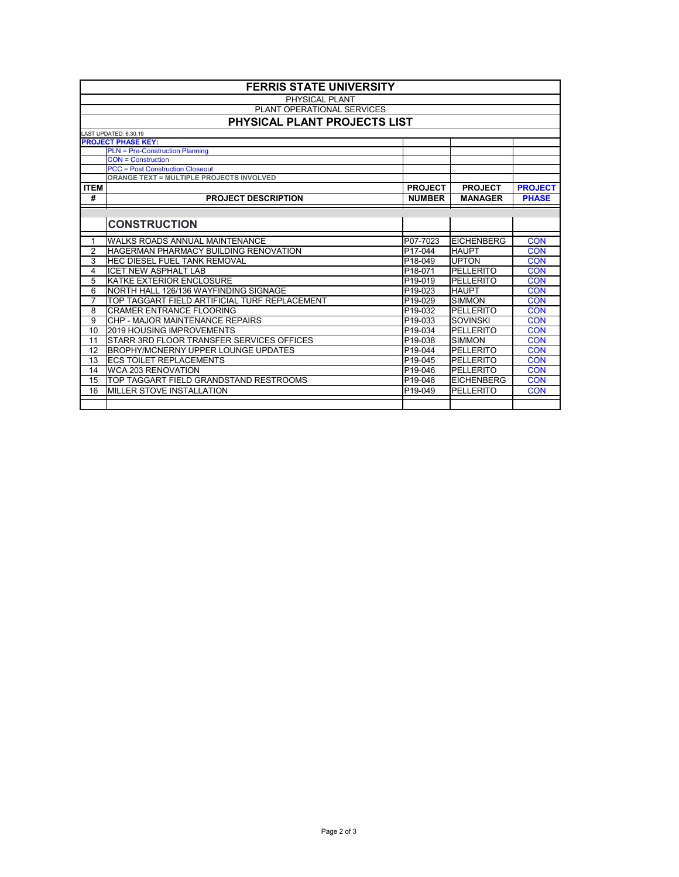Page 2 of 3

|                | <b>FERRIS STATE UNIVERSITY</b>                  |                      |                   |                |  |  |
|----------------|-------------------------------------------------|----------------------|-------------------|----------------|--|--|
|                | <b>PHYSICAL PLANT</b>                           |                      |                   |                |  |  |
|                | PLANT OPERATIONAL SERVICES                      |                      |                   |                |  |  |
|                | PHYSICAL PLANT PROJECTS LIST                    |                      |                   |                |  |  |
|                | LAST UPDATED: 6.30.19                           |                      |                   |                |  |  |
|                | <b>PROJECT PHASE KEY:</b>                       |                      |                   |                |  |  |
|                | <b>PLN = Pre-Construction Planning</b>          |                      |                   |                |  |  |
|                | <b>CON = Construction</b>                       |                      |                   |                |  |  |
|                | <b>PCC</b> = Post Construction Closeout         |                      |                   |                |  |  |
|                | <b>ORANGE TEXT = MULTIPLE PROJECTS INVOLVED</b> |                      |                   |                |  |  |
| <b>ITEM</b>    |                                                 | <b>PROJECT</b>       | <b>PROJECT</b>    | <b>PROJECT</b> |  |  |
| #              | <b>PROJECT DESCRIPTION</b>                      | <b>NUMBER</b>        | <b>MANAGER</b>    | <b>PHASE</b>   |  |  |
|                |                                                 |                      |                   |                |  |  |
|                | <b>CONSTRUCTION</b>                             |                      |                   |                |  |  |
| $\mathbf{1}$   | <b>WALKS ROADS ANNUAL MAINTENANCE</b>           | P07-7023             | <b>EICHENBERG</b> | <b>CON</b>     |  |  |
| $\overline{2}$ | <b>HAGERMAN PHARMACY BUILDING RENOVATION</b>    | P17-044              | <b>HAUPT</b>      | <b>CON</b>     |  |  |
| 3              | <b>HEC DIESEL FUEL TANK REMOVAL</b>             | P18-049              | <b>UPTON</b>      | <b>CON</b>     |  |  |
| 4              | <b>ICET NEW ASPHALT LAB</b>                     | P18-071              | <b>PELLERITO</b>  | <b>CON</b>     |  |  |
| 5              | KATKE EXTERIOR ENCLOSURE                        | P19-019              | <b>PELLERITO</b>  | <b>CON</b>     |  |  |
| 6              | NORTH HALL 126/136 WAYFINDING SIGNAGE           | P19-023              | <b>HAUPT</b>      | <b>CON</b>     |  |  |
| $\overline{7}$ | TOP TAGGART FIELD ARTIFICIAL TURF REPLACEMENT   | P <sub>19</sub> -029 | <b>SIMMON</b>     | <b>CON</b>     |  |  |
| 8              | <b>CRAMER ENTRANCE FLOORING</b>                 | P19-032              | <b>PELLERITO</b>  | <b>CON</b>     |  |  |
| 9              | CHP - MAJOR MAINTENANCE REPAIRS                 | P19-033              | <b>SOVINSKI</b>   | <b>CON</b>     |  |  |
| 10             | <b>2019 HOUSING IMPROVEMENTS</b>                | P19-034              | <b>PELLERITO</b>  | <b>CON</b>     |  |  |
| 11             | STARR 3RD FLOOR TRANSFER SERVICES OFFICES       | P19-038              | <b>SIMMON</b>     | <b>CON</b>     |  |  |
| 12             | <b>BROPHY/MCNERNY UPPER LOUNGE UPDATES</b>      | P19-044              | <b>PELLERITO</b>  | <b>CON</b>     |  |  |
| 13             | <b>ECS TOILET REPLACEMENTS</b>                  | P19-045              | <b>PELLERITO</b>  | <b>CON</b>     |  |  |
| 14             | <b>WCA 203 RENOVATION</b>                       | P19-046              | <b>PELLERITO</b>  | <b>CON</b>     |  |  |
| 15             | TOP TAGGART FIELD GRANDSTAND RESTROOMS          | P19-048              | <b>EICHENBERG</b> | <b>CON</b>     |  |  |
| 16             | <b>MILLER STOVE INSTALLATION</b>                | P19-049              | <b>PELLERITO</b>  | <b>CON</b>     |  |  |
|                |                                                 |                      |                   |                |  |  |